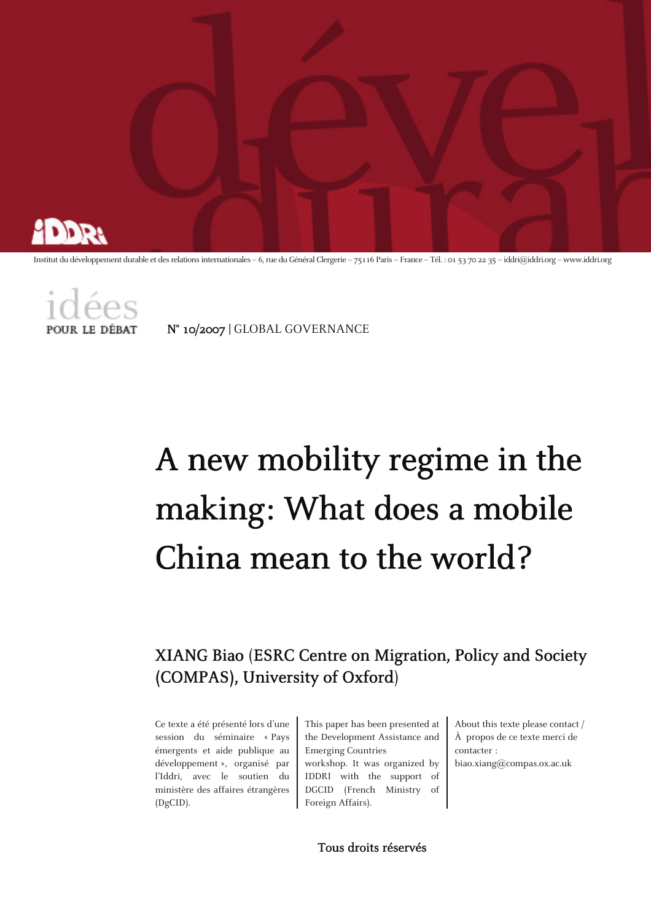

Institut du développement durable et des relations internationales – 6, rue du Général Clergerie – 75116 Paris – France – Tél. : 01 53 70 22 35 – iddri@iddri.org – www.iddri.org



N° 10/2007 | GLOBAL GOVERNANCE

# A new mobility regime in the making: What does a mobile China mean to the world?

# XIANG Biao (ESRC Centre on Migration, Policy and Society (COMPAS), University of Oxford)

Ce texte a été présenté lors d'une session du séminaire « Pays émergents et aide publique au développement », organisé par l'Iddri, avec le soutien du ministère des affaires étrangères (DgCID).

This paper has been presented at the Development Assistance and Emerging Countries workshop. It was organized by IDDRI with the support of DGCID (French Ministry of

About this texte please contact / À propos de ce texte merci de contacter :

biao.xiang@compas.ox.ac.uk

Tous droits réservés

Foreign Affairs).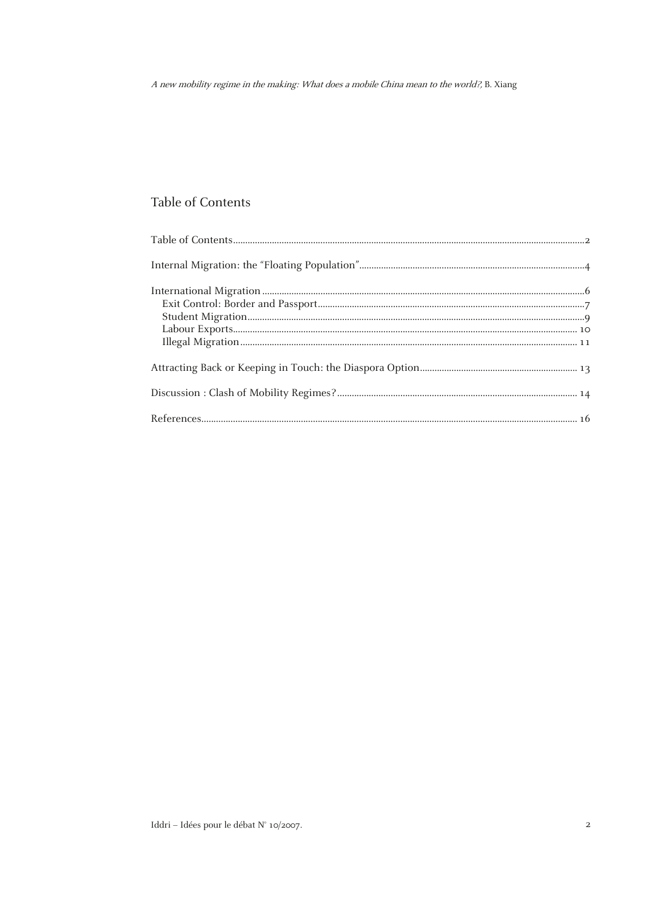## Table of Contents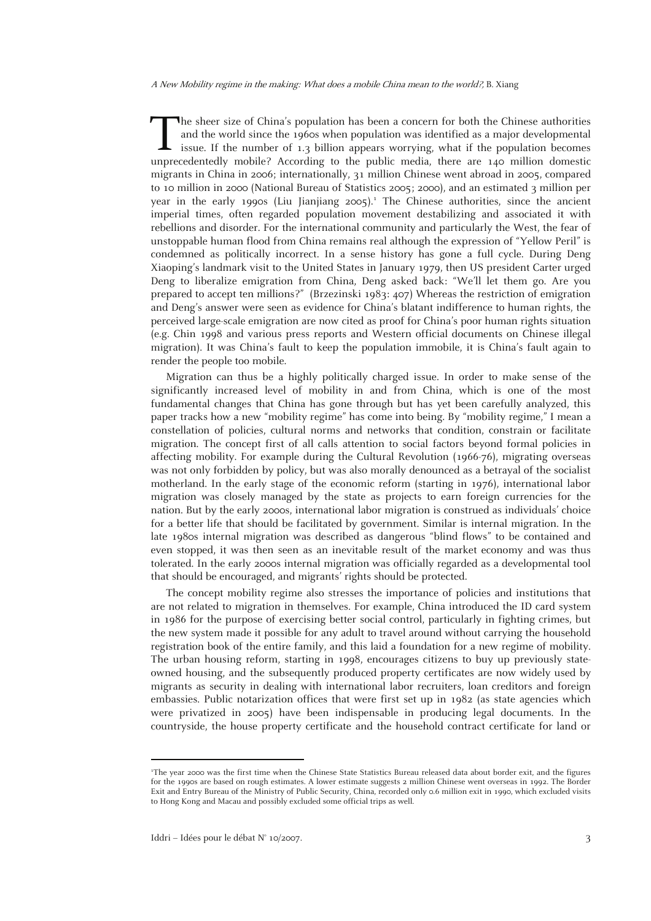he sheer size of China's population has been a concern for both the Chinese authorities and the world since the 1960s when population was identified as a major developmental issue. If the number of 1.3 billion appears worrying, what if the population becomes The sheer size of China's population has been a concern for both the Chinese authorities<br>and the world since the 1960s when population was identified as a major developmental<br>issue. If the number of 1.3 billion appears wor migrants in China in 2006; internationally, 31 million Chinese went abroad in 2005, compared to 10 million in 2000 (National Bureau of Statistics 2005; 2000), and an estimated 3 million per year in the early 1990s (Liu Jianjiang 2005).<sup>1</sup> The Chinese authorities, since the ancient imperial times, often regarded population movement destabilizing and associated it with rebellions and disorder. For the international community and particularly the West, the fear of unstoppable human flood from China remains real although the expression of "Yellow Peril" is condemned as politically incorrect. In a sense history has gone a full cycle. During Deng Xiaoping's landmark visit to the United States in January 1979, then US president Carter urged Deng to liberalize emigration from China, Deng asked back: "We'll let them go. Are you prepared to accept ten millions?" (Brzezinski 1983: 407) Whereas the restriction of emigration and Deng's answer were seen as evidence for China's blatant indifference to human rights, the perceived large-scale emigration are now cited as proof for China's poor human rights situation (e.g. Chin 1998 and various press reports and Western official documents on Chinese illegal migration). It was China's fault to keep the population immobile, it is China's fault again to render the people too mobile.

Migration can thus be a highly politically charged issue. In order to make sense of the significantly increased level of mobility in and from China, which is one of the most fundamental changes that China has gone through but has yet been carefully analyzed, this paper tracks how a new "mobility regime" has come into being. By "mobility regime," I mean a constellation of policies, cultural norms and networks that condition, constrain or facilitate migration. The concept first of all calls attention to social factors beyond formal policies in affecting mobility. For example during the Cultural Revolution (1966-76), migrating overseas was not only forbidden by policy, but was also morally denounced as a betrayal of the socialist motherland. In the early stage of the economic reform (starting in 1976), international labor migration was closely managed by the state as projects to earn foreign currencies for the nation. But by the early 2000s, international labor migration is construed as individuals' choice for a better life that should be facilitated by government. Similar is internal migration. In the late 1980s internal migration was described as dangerous "blind flows" to be contained and even stopped, it was then seen as an inevitable result of the market economy and was thus tolerated. In the early 2000s internal migration was officially regarded as a developmental tool that should be encouraged, and migrants' rights should be protected.

The concept mobility regime also stresses the importance of policies and institutions that are not related to migration in themselves. For example, China introduced the ID card system in 1986 for the purpose of exercising better social control, particularly in fighting crimes, but the new system made it possible for any adult to travel around without carrying the household registration book of the entire family, and this laid a foundation for a new regime of mobility. The urban housing reform, starting in 1998, encourages citizens to buy up previously stateowned housing, and the subsequently produced property certificates are now widely used by migrants as security in dealing with international labor recruiters, loan creditors and foreign embassies. Public notarization offices that were first set up in 1982 (as state agencies which were privatized in 2005) have been indispensable in producing legal documents. In the countryside, the house property certificate and the household contract certificate for land or

1

<sup>1</sup> The year 2000 was the first time when the Chinese State Statistics Bureau released data about border exit, and the figures for the 1990s are based on rough estimates. A lower estimate suggests 2 million Chinese went overseas in 1992. The Border Exit and Entry Bureau of the Ministry of Public Security, China, recorded only 0.6 million exit in 1990, which excluded visits to Hong Kong and Macau and possibly excluded some official trips as well.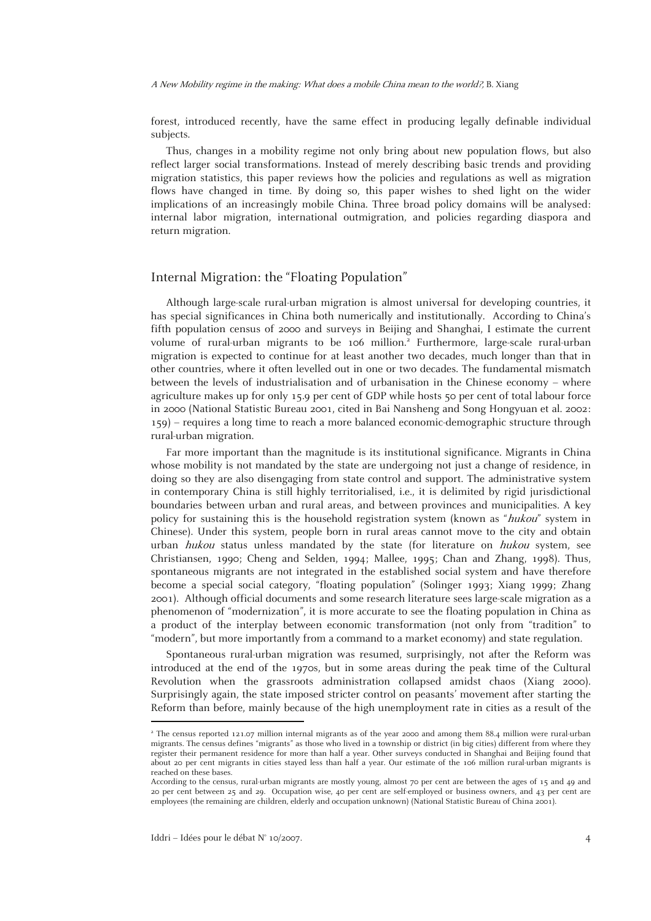forest, introduced recently, have the same effect in producing legally definable individual subjects.

Thus, changes in a mobility regime not only bring about new population flows, but also reflect larger social transformations. Instead of merely describing basic trends and providing migration statistics, this paper reviews how the policies and regulations as well as migration flows have changed in time. By doing so, this paper wishes to shed light on the wider implications of an increasingly mobile China. Three broad policy domains will be analysed: internal labor migration, international outmigration, and policies regarding diaspora and return migration.

### Internal Migration: the "Floating Population"

Although large-scale rural-urban migration is almost universal for developing countries, it has special significances in China both numerically and institutionally. According to China's fifth population census of 2000 and surveys in Beijing and Shanghai, I estimate the current volume of rural-urban migrants to be 106 million.<sup>2</sup> Furthermore, large-scale rural-urban migration is expected to continue for at least another two decades, much longer than that in other countries, where it often levelled out in one or two decades. The fundamental mismatch between the levels of industrialisation and of urbanisation in the Chinese economy – where agriculture makes up for only 15.9 per cent of GDP while hosts 50 per cent of total labour force in 2000 (National Statistic Bureau 2001, cited in Bai Nansheng and Song Hongyuan et al. 2002: 159) – requires a long time to reach a more balanced economic-demographic structure through rural-urban migration.

Far more important than the magnitude is its institutional significance. Migrants in China whose mobility is not mandated by the state are undergoing not just a change of residence, in doing so they are also disengaging from state control and support. The administrative system in contemporary China is still highly territorialised, i.e., it is delimited by rigid jurisdictional boundaries between urban and rural areas, and between provinces and municipalities. A key policy for sustaining this is the household registration system (known as "hukou" system in Chinese). Under this system, people born in rural areas cannot move to the city and obtain urban hukou status unless mandated by the state (for literature on hukou system, see Christiansen, 1990; Cheng and Selden, 1994; Mallee, 1995; Chan and Zhang, 1998). Thus, spontaneous migrants are not integrated in the established social system and have therefore become a special social category, "floating population" (Solinger 1993; Xiang 1999; Zhang 2001). Although official documents and some research literature sees large-scale migration as a phenomenon of "modernization", it is more accurate to see the floating population in China as a product of the interplay between economic transformation (not only from "tradition" to "modern", but more importantly from a command to a market economy) and state regulation.

Spontaneous rural-urban migration was resumed, surprisingly, not after the Reform was introduced at the end of the 1970s, but in some areas during the peak time of the Cultural Revolution when the grassroots administration collapsed amidst chaos (Xiang 2000). Surprisingly again, the state imposed stricter control on peasants' movement after starting the Reform than before, mainly because of the high unemployment rate in cities as a result of the

1

<sup>2</sup> The census reported 121.07 million internal migrants as of the year 2000 and among them 88.4 million were rural-urban migrants. The census defines "migrants" as those who lived in a township or district (in big cities) different from where they register their permanent residence for more than half a year. Other surveys conducted in Shanghai and Beijing found that about 20 per cent migrants in cities stayed less than half a year. Our estimate of the 106 million rural-urban migrants is reached on these bases.

According to the census, rural-urban migrants are mostly young, almost 70 per cent are between the ages of 15 and 49 and 20 per cent between 25 and 29. Occupation wise, 40 per cent are self-employed or business owners, and 43 per cent are employees (the remaining are children, elderly and occupation unknown) (National Statistic Bureau of China 2001).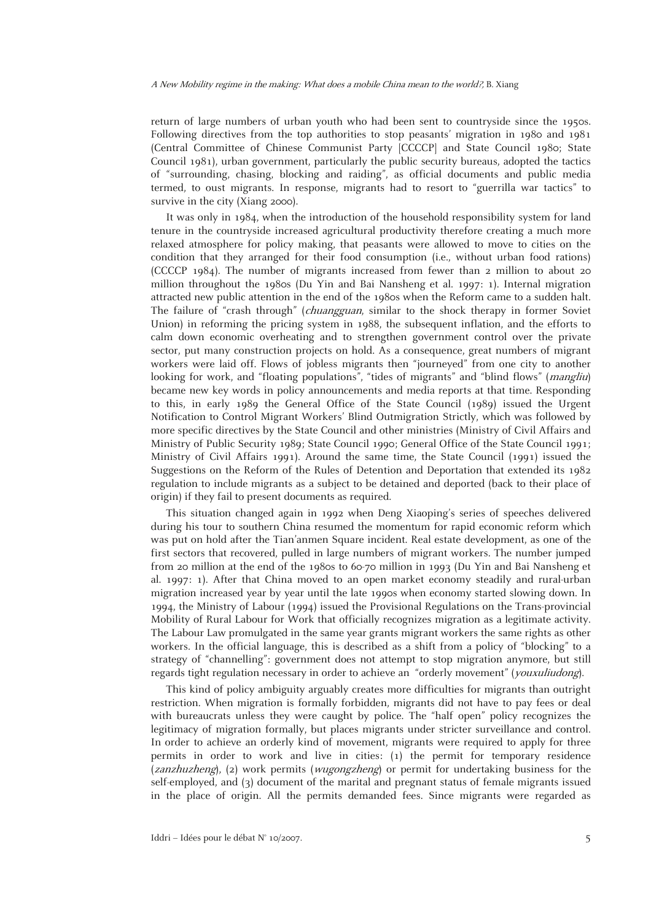return of large numbers of urban youth who had been sent to countryside since the 1950s. Following directives from the top authorities to stop peasants' migration in 1980 and 1981 (Central Committee of Chinese Communist Party [CCCCP] and State Council 1980; State Council 1981), urban government, particularly the public security bureaus, adopted the tactics of "surrounding, chasing, blocking and raiding", as official documents and public media termed, to oust migrants. In response, migrants had to resort to "guerrilla war tactics" to survive in the city (Xiang 2000).

It was only in 1984, when the introduction of the household responsibility system for land tenure in the countryside increased agricultural productivity therefore creating a much more relaxed atmosphere for policy making, that peasants were allowed to move to cities on the condition that they arranged for their food consumption (i.e., without urban food rations) (CCCCP 1984). The number of migrants increased from fewer than 2 million to about 20 million throughout the 1980s (Du Yin and Bai Nansheng et al. 1997: 1). Internal migration attracted new public attention in the end of the 1980s when the Reform came to a sudden halt. The failure of "crash through" (chuangguan, similar to the shock therapy in former Soviet Union) in reforming the pricing system in 1988, the subsequent inflation, and the efforts to calm down economic overheating and to strengthen government control over the private sector, put many construction projects on hold. As a consequence, great numbers of migrant workers were laid off. Flows of jobless migrants then "journeyed" from one city to another looking for work, and "floating populations", "tides of migrants" and "blind flows" (*mangliu*) became new key words in policy announcements and media reports at that time. Responding to this, in early 1989 the General Office of the State Council (1989) issued the Urgent Notification to Control Migrant Workers' Blind Outmigration Strictly, which was followed by more specific directives by the State Council and other ministries (Ministry of Civil Affairs and Ministry of Public Security 1989; State Council 1990; General Office of the State Council 1991; Ministry of Civil Affairs 1991). Around the same time, the State Council (1991) issued the Suggestions on the Reform of the Rules of Detention and Deportation that extended its 1982 regulation to include migrants as a subject to be detained and deported (back to their place of origin) if they fail to present documents as required.

This situation changed again in 1992 when Deng Xiaoping's series of speeches delivered during his tour to southern China resumed the momentum for rapid economic reform which was put on hold after the Tian'anmen Square incident. Real estate development, as one of the first sectors that recovered, pulled in large numbers of migrant workers. The number jumped from 20 million at the end of the 1980s to 60-70 million in 1993 (Du Yin and Bai Nansheng et al. 1997: 1). After that China moved to an open market economy steadily and rural-urban migration increased year by year until the late 1990s when economy started slowing down. In 1994, the Ministry of Labour (1994) issued the Provisional Regulations on the Trans-provincial Mobility of Rural Labour for Work that officially recognizes migration as a legitimate activity. The Labour Law promulgated in the same year grants migrant workers the same rights as other workers. In the official language, this is described as a shift from a policy of "blocking" to a strategy of "channelling": government does not attempt to stop migration anymore, but still regards tight regulation necessary in order to achieve an "orderly movement" (youxuliudong).

This kind of policy ambiguity arguably creates more difficulties for migrants than outright restriction. When migration is formally forbidden, migrants did not have to pay fees or deal with bureaucrats unless they were caught by police. The "half open" policy recognizes the legitimacy of migration formally, but places migrants under stricter surveillance and control. In order to achieve an orderly kind of movement, migrants were required to apply for three permits in order to work and live in cities: (1) the permit for temporary residence (zanzhuzheng), (2) work permits (wugongzheng) or permit for undertaking business for the self-employed, and (3) document of the marital and pregnant status of female migrants issued in the place of origin. All the permits demanded fees. Since migrants were regarded as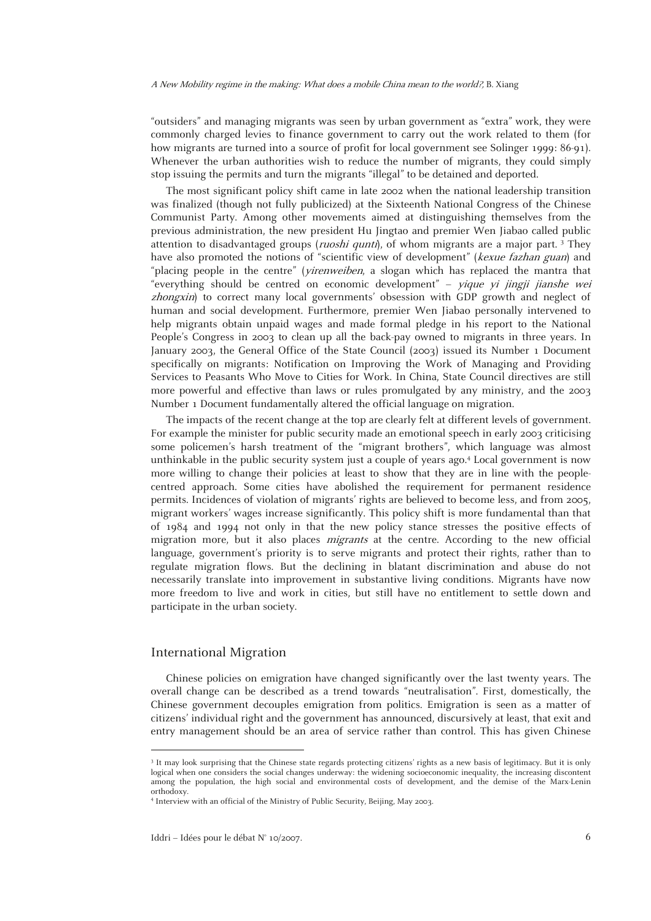"outsiders" and managing migrants was seen by urban government as "extra" work, they were commonly charged levies to finance government to carry out the work related to them (for how migrants are turned into a source of profit for local government see Solinger 1999: 86-91). Whenever the urban authorities wish to reduce the number of migrants, they could simply stop issuing the permits and turn the migrants "illegal" to be detained and deported.

The most significant policy shift came in late 2002 when the national leadership transition was finalized (though not fully publicized) at the Sixteenth National Congress of the Chinese Communist Party. Among other movements aimed at distinguishing themselves from the previous administration, the new president Hu Jingtao and premier Wen Jiabao called public attention to disadvantaged groups (*ruoshi qunti*), of whom migrants are a major part.<sup>3</sup> They have also promoted the notions of "scientific view of development" (kexue fazhan guan) and "placing people in the centre" (yirenweiben, a slogan which has replaced the mantra that "everything should be centred on economic development" – yique yi jingji jianshe wei zhongxin) to correct many local governments' obsession with GDP growth and neglect of human and social development. Furthermore, premier Wen Jiabao personally intervened to help migrants obtain unpaid wages and made formal pledge in his report to the National People's Congress in 2003 to clean up all the back-pay owned to migrants in three years. In January 2003, the General Office of the State Council (2003) issued its Number 1 Document specifically on migrants: Notification on Improving the Work of Managing and Providing Services to Peasants Who Move to Cities for Work. In China, State Council directives are still more powerful and effective than laws or rules promulgated by any ministry, and the 2003 Number 1 Document fundamentally altered the official language on migration.

The impacts of the recent change at the top are clearly felt at different levels of government. For example the minister for public security made an emotional speech in early 2003 criticising some policemen's harsh treatment of the "migrant brothers", which language was almost unthinkable in the public security system just a couple of years ago.4 Local government is now more willing to change their policies at least to show that they are in line with the peoplecentred approach. Some cities have abolished the requirement for permanent residence permits. Incidences of violation of migrants' rights are believed to become less, and from 2005, migrant workers' wages increase significantly. This policy shift is more fundamental than that of 1984 and 1994 not only in that the new policy stance stresses the positive effects of migration more, but it also places migrants at the centre. According to the new official language, government's priority is to serve migrants and protect their rights, rather than to regulate migration flows. But the declining in blatant discrimination and abuse do not necessarily translate into improvement in substantive living conditions. Migrants have now more freedom to live and work in cities, but still have no entitlement to settle down and participate in the urban society.

#### International Migration

1

Chinese policies on emigration have changed significantly over the last twenty years. The overall change can be described as a trend towards "neutralisation". First, domestically, the Chinese government decouples emigration from politics. Emigration is seen as a matter of citizens' individual right and the government has announced, discursively at least, that exit and entry management should be an area of service rather than control. This has given Chinese

<sup>&</sup>lt;sup>3</sup> It may look surprising that the Chinese state regards protecting citizens' rights as a new basis of legitimacy. But it is only logical when one considers the social changes underway: the widening socioeconomic inequality, the increasing discontent among the population, the high social and environmental costs of development, and the demise of the Marx-Lenin orthodoxy.

<sup>4</sup> Interview with an official of the Ministry of Public Security, Beijing, May 2003.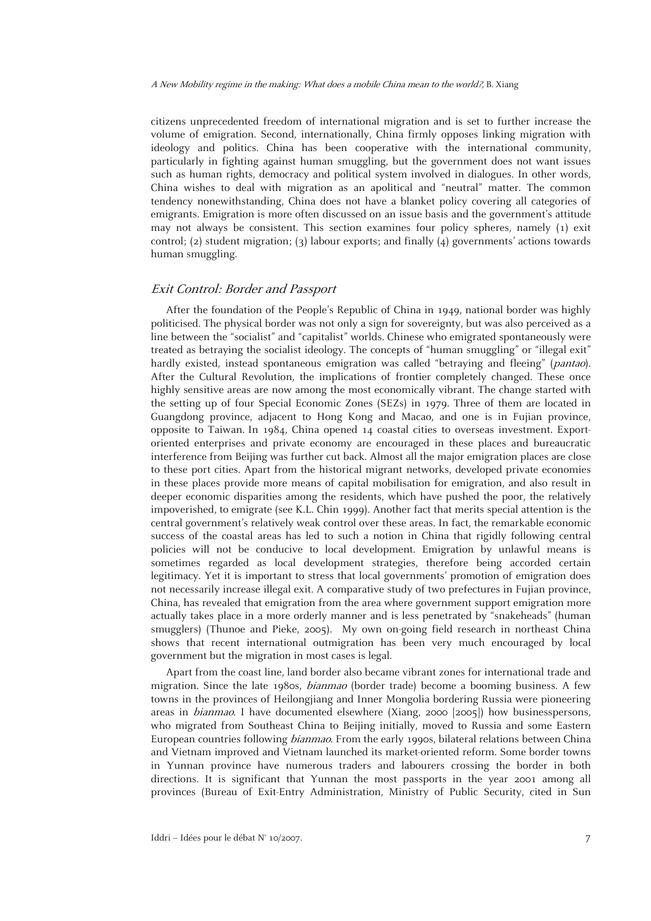citizens unprecedented freedom of international migration and is set to further increase the volume of emigration. Second, internationally, China firmly opposes linking migration with ideology and politics. China has been cooperative with the international community, particularly in fighting against human smuggling, but the government does not want issues such as human rights, democracy and political system involved in dialogues. In other words, China wishes to deal with migration as an apolitical and "neutral" matter. The common tendency nonewithstanding, China does not have a blanket policy covering all categories of emigrants. Emigration is more often discussed on an issue basis and the government's attitude may not always be consistent. This section examines four policy spheres, namely (1) exit control; (2) student migration; (3) labour exports; and finally (4) governments' actions towards human smuggling.

#### Exit Control: Border and Passport

After the foundation of the People's Republic of China in 1949, national border was highly politicised. The physical border was not only a sign for sovereignty, but was also perceived as a line between the "socialist" and "capitalist" worlds. Chinese who emigrated spontaneously were treated as betraying the socialist ideology. The concepts of "human smuggling" or "illegal exit" hardly existed, instead spontaneous emigration was called "betraying and fleeing" (pantao). After the Cultural Revolution, the implications of frontier completely changed. These once highly sensitive areas are now among the most economically vibrant. The change started with the setting up of four Special Economic Zones (SEZs) in 1979. Three of them are located in Guangdong province, adjacent to Hong Kong and Macao, and one is in Fujian province, opposite to Taiwan. In 1984, China opened 14 coastal cities to overseas investment. Exportoriented enterprises and private economy are encouraged in these places and bureaucratic interference from Beijing was further cut back. Almost all the major emigration places are close to these port cities. Apart from the historical migrant networks, developed private economies in these places provide more means of capital mobilisation for emigration, and also result in deeper economic disparities among the residents, which have pushed the poor, the relatively impoverished, to emigrate (see K.L. Chin 1999). Another fact that merits special attention is the central government's relatively weak control over these areas. In fact, the remarkable economic success of the coastal areas has led to such a notion in China that rigidly following central policies will not be conducive to local development. Emigration by unlawful means is sometimes regarded as local development strategies, therefore being accorded certain legitimacy. Yet it is important to stress that local governments' promotion of emigration does not necessarily increase illegal exit. A comparative study of two prefectures in Fujian province, China, has revealed that emigration from the area where government support emigration more actually takes place in a more orderly manner and is less penetrated by "snakeheads" (human smugglers) (Thunoe and Pieke, 2005). My own on-going field research in northeast China shows that recent international outmigration has been very much encouraged by local government but the migration in most cases is legal.

Apart from the coast line, land border also became vibrant zones for international trade and migration. Since the late 1980s, bianmao (border trade) become a booming business. A few towns in the provinces of Heilongjiang and Inner Mongolia bordering Russia were pioneering areas in bianmao. I have documented elsewhere (Xiang, 2000 [2005]) how businesspersons, who migrated from Southeast China to Beijing initially, moved to Russia and some Eastern European countries following bianmao. From the early 1990s, bilateral relations between China and Vietnam improved and Vietnam launched its market-oriented reform. Some border towns in Yunnan province have numerous traders and labourers crossing the border in both directions. It is significant that Yunnan the most passports in the year 2001 among all provinces (Bureau of Exit-Entry Administration, Ministry of Public Security, cited in Sun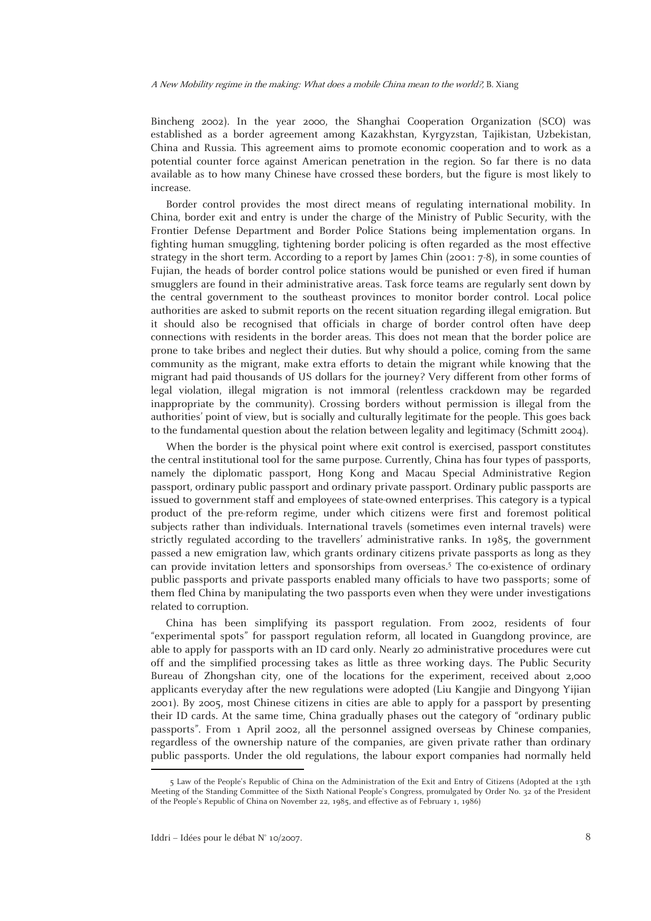Bincheng 2002). In the year 2000, the Shanghai Cooperation Organization (SCO) was established as a border agreement among Kazakhstan, Kyrgyzstan, Tajikistan, Uzbekistan, China and Russia. This agreement aims to promote economic cooperation and to work as a potential counter force against American penetration in the region. So far there is no data available as to how many Chinese have crossed these borders, but the figure is most likely to increase.

Border control provides the most direct means of regulating international mobility. In China, border exit and entry is under the charge of the Ministry of Public Security, with the Frontier Defense Department and Border Police Stations being implementation organs. In fighting human smuggling, tightening border policing is often regarded as the most effective strategy in the short term. According to a report by James Chin (2001: 7-8), in some counties of Fujian, the heads of border control police stations would be punished or even fired if human smugglers are found in their administrative areas. Task force teams are regularly sent down by the central government to the southeast provinces to monitor border control. Local police authorities are asked to submit reports on the recent situation regarding illegal emigration. But it should also be recognised that officials in charge of border control often have deep connections with residents in the border areas. This does not mean that the border police are prone to take bribes and neglect their duties. But why should a police, coming from the same community as the migrant, make extra efforts to detain the migrant while knowing that the migrant had paid thousands of US dollars for the journey? Very different from other forms of legal violation, illegal migration is not immoral (relentless crackdown may be regarded inappropriate by the community). Crossing borders without permission is illegal from the authorities' point of view, but is socially and culturally legitimate for the people. This goes back to the fundamental question about the relation between legality and legitimacy (Schmitt 2004).

When the border is the physical point where exit control is exercised, passport constitutes the central institutional tool for the same purpose. Currently, China has four types of passports, namely the diplomatic passport, Hong Kong and Macau Special Administrative Region passport, ordinary public passport and ordinary private passport. Ordinary public passports are issued to government staff and employees of state-owned enterprises. This category is a typical product of the pre-reform regime, under which citizens were first and foremost political subjects rather than individuals. International travels (sometimes even internal travels) were strictly regulated according to the travellers' administrative ranks. In 1985, the government passed a new emigration law, which grants ordinary citizens private passports as long as they can provide invitation letters and sponsorships from overseas.<sup>5</sup> The co-existence of ordinary public passports and private passports enabled many officials to have two passports; some of them fled China by manipulating the two passports even when they were under investigations related to corruption.

China has been simplifying its passport regulation. From 2002, residents of four "experimental spots" for passport regulation reform, all located in Guangdong province, are able to apply for passports with an ID card only. Nearly 20 administrative procedures were cut off and the simplified processing takes as little as three working days. The Public Security Bureau of Zhongshan city, one of the locations for the experiment, received about 2,000 applicants everyday after the new regulations were adopted (Liu Kangjie and Dingyong Yijian 2001). By 2005, most Chinese citizens in cities are able to apply for a passport by presenting their ID cards. At the same time, China gradually phases out the category of "ordinary public passports". From 1 April 2002, all the personnel assigned overseas by Chinese companies, regardless of the ownership nature of the companies, are given private rather than ordinary public passports. Under the old regulations, the labour export companies had normally held

 <sup>5</sup> Law of the People's Republic of China on the Administration of the Exit and Entry of Citizens (Adopted at the 13th Meeting of the Standing Committee of the Sixth National People's Congress, promulgated by Order No. 32 of the President of the People's Republic of China on November 22, 1985, and effective as of February 1, 1986)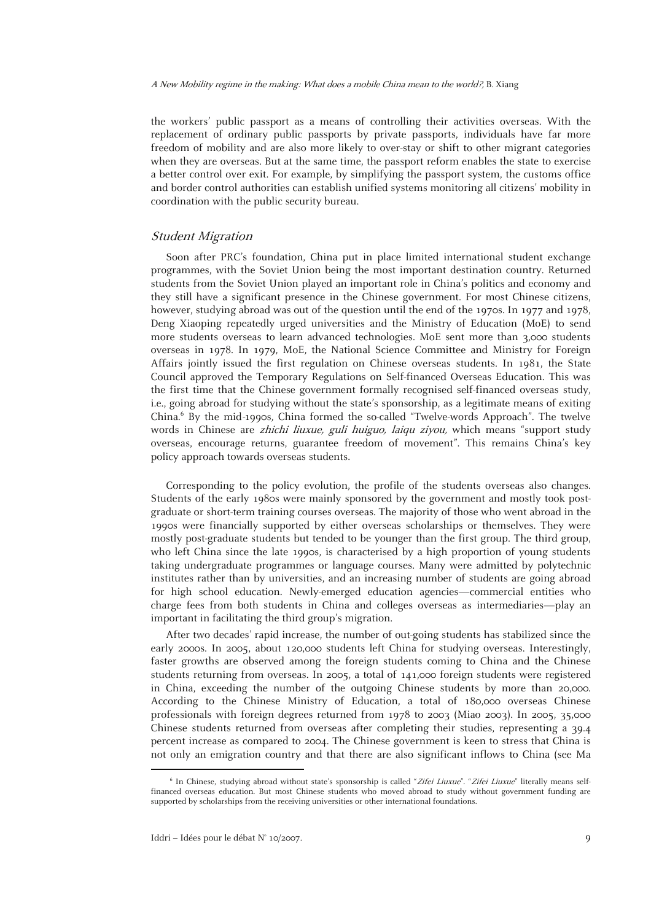the workers' public passport as a means of controlling their activities overseas. With the replacement of ordinary public passports by private passports, individuals have far more freedom of mobility and are also more likely to over-stay or shift to other migrant categories when they are overseas. But at the same time, the passport reform enables the state to exercise a better control over exit. For example, by simplifying the passport system, the customs office and border control authorities can establish unified systems monitoring all citizens' mobility in coordination with the public security bureau.

#### Student Migration

Soon after PRC's foundation, China put in place limited international student exchange programmes, with the Soviet Union being the most important destination country. Returned students from the Soviet Union played an important role in China's politics and economy and they still have a significant presence in the Chinese government. For most Chinese citizens, however, studying abroad was out of the question until the end of the 1970s. In 1977 and 1978, Deng Xiaoping repeatedly urged universities and the Ministry of Education (MoE) to send more students overseas to learn advanced technologies. MoE sent more than 3,000 students overseas in 1978. In 1979, MoE, the National Science Committee and Ministry for Foreign Affairs jointly issued the first regulation on Chinese overseas students. In 1981, the State Council approved the Temporary Regulations on Self-financed Overseas Education. This was the first time that the Chinese government formally recognised self-financed overseas study, i.e., going abroad for studying without the state's sponsorship, as a legitimate means of exiting China.6 By the mid-1990s, China formed the so-called "Twelve-words Approach". The twelve words in Chinese are *zhichi liuxue, guli huiguo, laiqu ziyou*, which means "support study overseas, encourage returns, guarantee freedom of movement". This remains China's key policy approach towards overseas students.

Corresponding to the policy evolution, the profile of the students overseas also changes. Students of the early 1980s were mainly sponsored by the government and mostly took postgraduate or short-term training courses overseas. The majority of those who went abroad in the 1990s were financially supported by either overseas scholarships or themselves. They were mostly post-graduate students but tended to be younger than the first group. The third group, who left China since the late 1990s, is characterised by a high proportion of young students taking undergraduate programmes or language courses. Many were admitted by polytechnic institutes rather than by universities, and an increasing number of students are going abroad for high school education. Newly-emerged education agencies—commercial entities who charge fees from both students in China and colleges overseas as intermediaries—play an important in facilitating the third group's migration.

After two decades' rapid increase, the number of out-going students has stabilized since the early 2000s. In 2005, about 120,000 students left China for studying overseas. Interestingly, faster growths are observed among the foreign students coming to China and the Chinese students returning from overseas. In 2005, a total of 141,000 foreign students were registered in China, exceeding the number of the outgoing Chinese students by more than 20,000. According to the Chinese Ministry of Education, a total of 180,000 overseas Chinese professionals with foreign degrees returned from 1978 to 2003 (Miao 2003). In 2005, 35,000 Chinese students returned from overseas after completing their studies, representing a 39.4 percent increase as compared to 2004. The Chinese government is keen to stress that China is not only an emigration country and that there are also significant inflows to China (see Ma

 <sup>6</sup> <sup>6</sup> In Chinese, studying abroad without state's sponsorship is called "Zifei Liuxue". "Zifei Liuxue" literally means selffinanced overseas education. But most Chinese students who moved abroad to study without government funding are supported by scholarships from the receiving universities or other international foundations.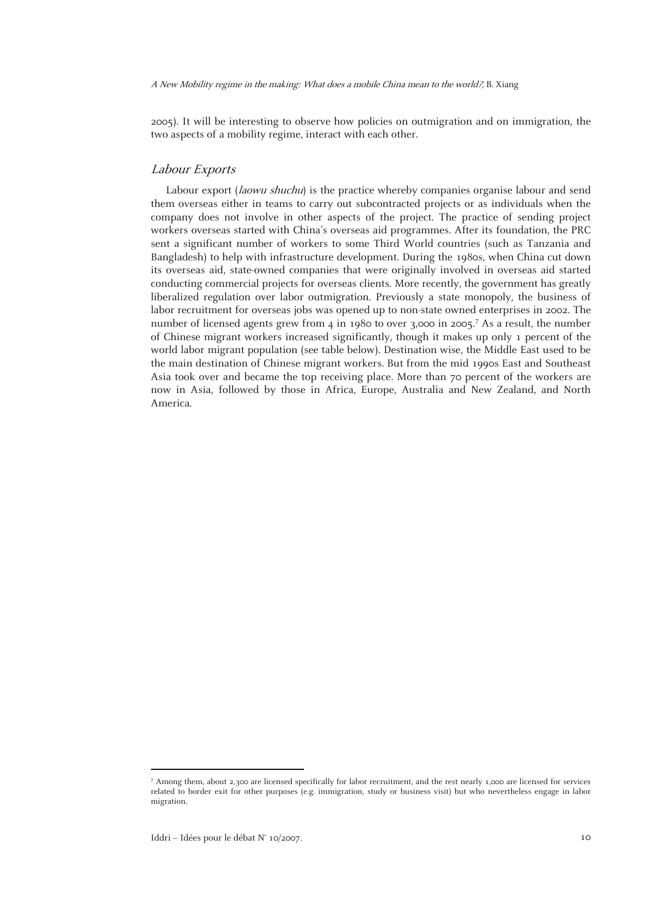2005). It will be interesting to observe how policies on outmigration and on immigration, the two aspects of a mobility regime, interact with each other.

#### Labour Exports

Labour export (*laowu shuchu*) is the practice whereby companies organise labour and send them overseas either in teams to carry out subcontracted projects or as individuals when the company does not involve in other aspects of the project. The practice of sending project workers overseas started with China's overseas aid programmes. After its foundation, the PRC sent a significant number of workers to some Third World countries (such as Tanzania and Bangladesh) to help with infrastructure development. During the 1980s, when China cut down its overseas aid, state-owned companies that were originally involved in overseas aid started conducting commercial projects for overseas clients. More recently, the government has greatly liberalized regulation over labor outmigration. Previously a state monopoly, the business of labor recruitment for overseas jobs was opened up to non-state owned enterprises in 2002. The number of licensed agents grew from 4 in 1980 to over 3,000 in 2005.<sup>7</sup> As a result, the number of Chinese migrant workers increased significantly, though it makes up only 1 percent of the world labor migrant population (see table below). Destination wise, the Middle East used to be the main destination of Chinese migrant workers. But from the mid 1990s East and Southeast Asia took over and became the top receiving place. More than 70 percent of the workers are now in Asia, followed by those in Africa, Europe, Australia and New Zealand, and North America.

1

<sup>7</sup> Among them, about 2,300 are licensed specifically for labor recruitment, and the rest nearly 1,000 are licensed for services related to border exit for other purposes (e.g. immigration, study or business visit) but who nevertheless engage in labor migration.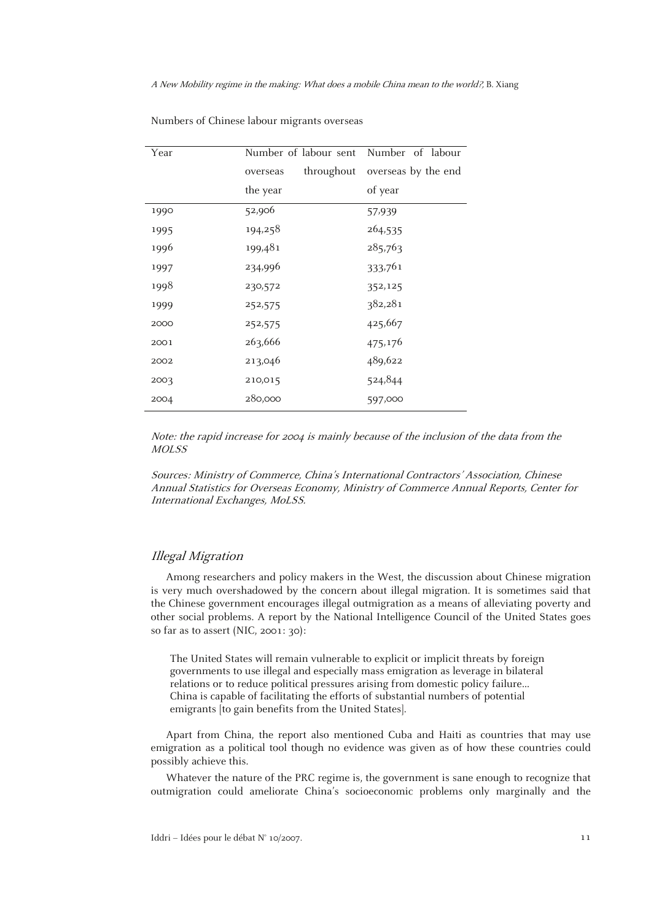| Year | Number of labour sent  | Number of labour    |
|------|------------------------|---------------------|
|      | throughout<br>overseas | overseas by the end |
|      | the year               | of year             |
| 1990 | 52,906                 | 57,939              |
| 1995 | 194,258                | 264,535             |
| 1996 | 199,481                | 285,763             |
| 1997 | 234,996                | 333,761             |
| 1998 | 230,572                | 352,125             |
| 1999 | 252,575                | 382,281             |
| 2000 | 252,575                | 425,667             |
| 2001 | 263,666                | 475,176             |
| 2002 | 213,046                | 489,622             |
| 2003 | 210,015                | 524,844             |
| 2004 | 280,000                | 597,000             |

Numbers of Chinese labour migrants overseas

Note: the rapid increase for 2004 is mainly because of the inclusion of the data from the MOLSS

Sources: Ministry of Commerce, China's International Contractors' Association, Chinese Annual Statistics for Overseas Economy, Ministry of Commerce Annual Reports, Center for International Exchanges, MoLSS.

#### Illegal Migration

Among researchers and policy makers in the West, the discussion about Chinese migration is very much overshadowed by the concern about illegal migration. It is sometimes said that the Chinese government encourages illegal outmigration as a means of alleviating poverty and other social problems. A report by the National Intelligence Council of the United States goes so far as to assert (NIC, 2001: 30):

The United States will remain vulnerable to explicit or implicit threats by foreign governments to use illegal and especially mass emigration as leverage in bilateral relations or to reduce political pressures arising from domestic policy failure… China is capable of facilitating the efforts of substantial numbers of potential emigrants [to gain benefits from the United States].

Apart from China, the report also mentioned Cuba and Haiti as countries that may use emigration as a political tool though no evidence was given as of how these countries could possibly achieve this.

Whatever the nature of the PRC regime is, the government is sane enough to recognize that outmigration could ameliorate China's socioeconomic problems only marginally and the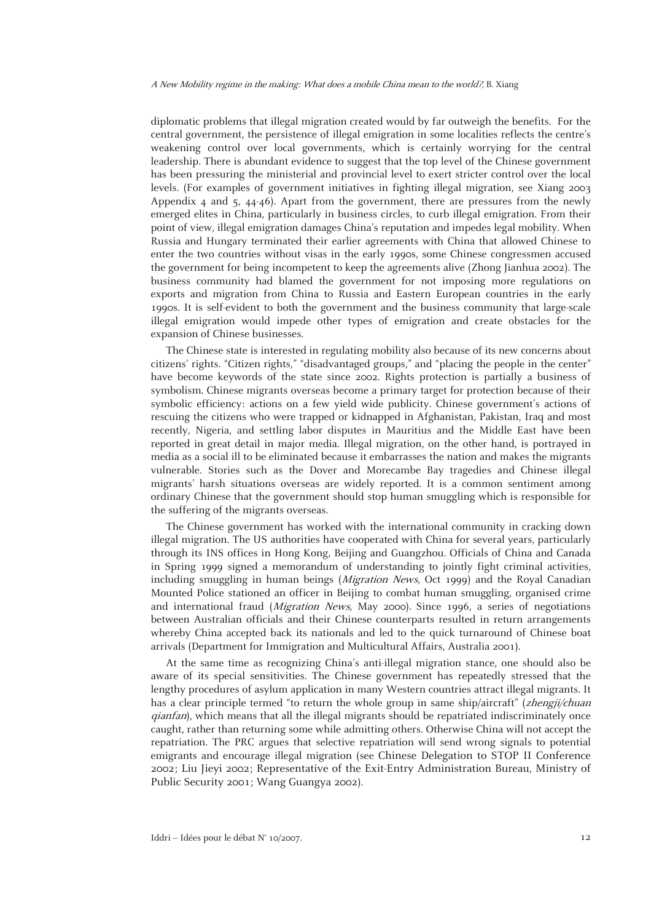diplomatic problems that illegal migration created would by far outweigh the benefits. For the central government, the persistence of illegal emigration in some localities reflects the centre's weakening control over local governments, which is certainly worrying for the central leadership. There is abundant evidence to suggest that the top level of the Chinese government has been pressuring the ministerial and provincial level to exert stricter control over the local levels. (For examples of government initiatives in fighting illegal migration, see Xiang 2003 Appendix 4 and 5,  $44-46$ ). Apart from the government, there are pressures from the newly emerged elites in China, particularly in business circles, to curb illegal emigration. From their point of view, illegal emigration damages China's reputation and impedes legal mobility. When Russia and Hungary terminated their earlier agreements with China that allowed Chinese to enter the two countries without visas in the early 1990s, some Chinese congressmen accused the government for being incompetent to keep the agreements alive (Zhong Jianhua 2002). The business community had blamed the government for not imposing more regulations on exports and migration from China to Russia and Eastern European countries in the early 1990s. It is self-evident to both the government and the business community that large-scale illegal emigration would impede other types of emigration and create obstacles for the expansion of Chinese businesses.

The Chinese state is interested in regulating mobility also because of its new concerns about citizens' rights. "Citizen rights," "disadvantaged groups," and "placing the people in the center" have become keywords of the state since 2002. Rights protection is partially a business of symbolism. Chinese migrants overseas become a primary target for protection because of their symbolic efficiency: actions on a few yield wide publicity. Chinese government's actions of rescuing the citizens who were trapped or kidnapped in Afghanistan, Pakistan, Iraq and most recently, Nigeria, and settling labor disputes in Mauritius and the Middle East have been reported in great detail in major media. Illegal migration, on the other hand, is portrayed in media as a social ill to be eliminated because it embarrasses the nation and makes the migrants vulnerable. Stories such as the Dover and Morecambe Bay tragedies and Chinese illegal migrants' harsh situations overseas are widely reported. It is a common sentiment among ordinary Chinese that the government should stop human smuggling which is responsible for the suffering of the migrants overseas.

The Chinese government has worked with the international community in cracking down illegal migration. The US authorities have cooperated with China for several years, particularly through its INS offices in Hong Kong, Beijing and Guangzhou. Officials of China and Canada in Spring 1999 signed a memorandum of understanding to jointly fight criminal activities, including smuggling in human beings (Migration News, Oct 1999) and the Royal Canadian Mounted Police stationed an officer in Beijing to combat human smuggling, organised crime and international fraud (Migration News, May 2000). Since 1996, a series of negotiations between Australian officials and their Chinese counterparts resulted in return arrangements whereby China accepted back its nationals and led to the quick turnaround of Chinese boat arrivals (Department for Immigration and Multicultural Affairs, Australia 2001).

At the same time as recognizing China's anti-illegal migration stance, one should also be aware of its special sensitivities. The Chinese government has repeatedly stressed that the lengthy procedures of asylum application in many Western countries attract illegal migrants. It has a clear principle termed "to return the whole group in same ship/aircraft" (*zhengji/chuan* qianfan), which means that all the illegal migrants should be repatriated indiscriminately once caught, rather than returning some while admitting others. Otherwise China will not accept the repatriation. The PRC argues that selective repatriation will send wrong signals to potential emigrants and encourage illegal migration (see Chinese Delegation to STOP II Conference 2002; Liu Jieyi 2002; Representative of the Exit-Entry Administration Bureau, Ministry of Public Security 2001; Wang Guangya 2002).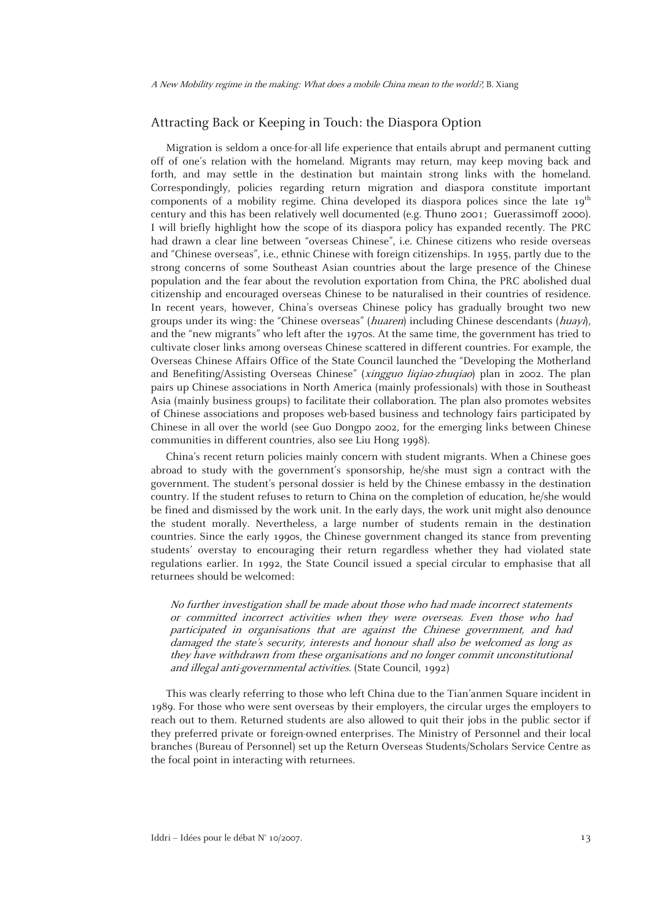## Attracting Back or Keeping in Touch: the Diaspora Option

Migration is seldom a once-for-all life experience that entails abrupt and permanent cutting off of one's relation with the homeland. Migrants may return, may keep moving back and forth, and may settle in the destination but maintain strong links with the homeland. Correspondingly, policies regarding return migration and diaspora constitute important components of a mobility regime. China developed its diaspora polices since the late  $19^{th}$ century and this has been relatively well documented (e.g. Thuno 2001; Guerassimoff 2000). I will briefly highlight how the scope of its diaspora policy has expanded recently. The PRC had drawn a clear line between "overseas Chinese", i.e. Chinese citizens who reside overseas and "Chinese overseas", i.e., ethnic Chinese with foreign citizenships. In 1955, partly due to the strong concerns of some Southeast Asian countries about the large presence of the Chinese population and the fear about the revolution exportation from China, the PRC abolished dual citizenship and encouraged overseas Chinese to be naturalised in their countries of residence. In recent years, however, China's overseas Chinese policy has gradually brought two new groups under its wing: the "Chinese overseas" (huaren) including Chinese descendants (huayi), and the "new migrants" who left after the 1970s. At the same time, the government has tried to cultivate closer links among overseas Chinese scattered in different countries. For example, the Overseas Chinese Affairs Office of the State Council launched the "Developing the Motherland and Benefiting/Assisting Overseas Chinese" (xingguo liqiao-zhuqiao) plan in 2002. The plan pairs up Chinese associations in North America (mainly professionals) with those in Southeast Asia (mainly business groups) to facilitate their collaboration. The plan also promotes websites of Chinese associations and proposes web-based business and technology fairs participated by Chinese in all over the world (see Guo Dongpo 2002, for the emerging links between Chinese communities in different countries, also see Liu Hong 1998).

China's recent return policies mainly concern with student migrants. When a Chinese goes abroad to study with the government's sponsorship, he/she must sign a contract with the government. The student's personal dossier is held by the Chinese embassy in the destination country. If the student refuses to return to China on the completion of education, he/she would be fined and dismissed by the work unit. In the early days, the work unit might also denounce the student morally. Nevertheless, a large number of students remain in the destination countries. Since the early 1990s, the Chinese government changed its stance from preventing students' overstay to encouraging their return regardless whether they had violated state regulations earlier. In 1992, the State Council issued a special circular to emphasise that all returnees should be welcomed:

No further investigation shall be made about those who had made incorrect statements or committed incorrect activities when they were overseas. Even those who had participated in organisations that are against the Chinese government, and had damaged the state's security, interests and honour shall also be welcomed as long as they have withdrawn from these organisations and no longer commit unconstitutional and illegal anti-governmental activities. (State Council, 1992)

This was clearly referring to those who left China due to the Tian'anmen Square incident in 1989. For those who were sent overseas by their employers, the circular urges the employers to reach out to them. Returned students are also allowed to quit their jobs in the public sector if they preferred private or foreign-owned enterprises. The Ministry of Personnel and their local branches (Bureau of Personnel) set up the Return Overseas Students/Scholars Service Centre as the focal point in interacting with returnees.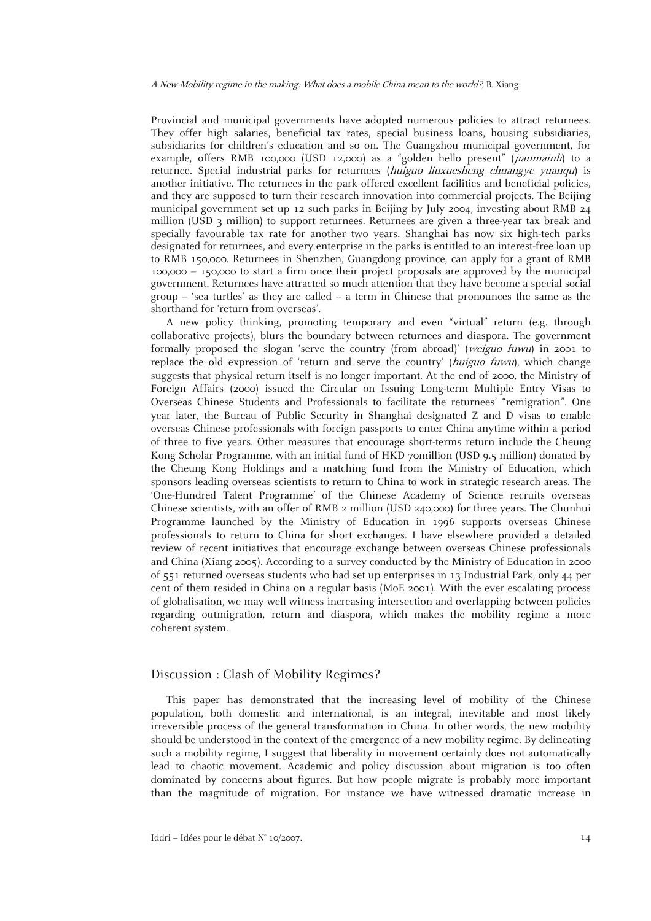Provincial and municipal governments have adopted numerous policies to attract returnees. They offer high salaries, beneficial tax rates, special business loans, housing subsidiaries, subsidiaries for children's education and so on. The Guangzhou municipal government, for example, offers RMB 100,000 (USD 12,000) as a "golden hello present" (jianmainli) to a returnee. Special industrial parks for returnees (huiguo liuxuesheng chuangye yuanqu) is another initiative. The returnees in the park offered excellent facilities and beneficial policies, and they are supposed to turn their research innovation into commercial projects. The Beijing municipal government set up 12 such parks in Beijing by July 2004, investing about RMB 24 million (USD 3 million) to support returnees. Returnees are given a three-year tax break and specially favourable tax rate for another two years. Shanghai has now six high-tech parks designated for returnees, and every enterprise in the parks is entitled to an interest-free loan up to RMB 150,000. Returnees in Shenzhen, Guangdong province, can apply for a grant of RMB 100,000 – 150,000 to start a firm once their project proposals are approved by the municipal government. Returnees have attracted so much attention that they have become a special social group  $-$  'sea turtles' as they are called  $-$  a term in Chinese that pronounces the same as the shorthand for 'return from overseas'.

A new policy thinking, promoting temporary and even "virtual" return (e.g. through collaborative projects), blurs the boundary between returnees and diaspora. The government formally proposed the slogan 'serve the country (from abroad)' (weiguo fuwu) in 2001 to replace the old expression of 'return and serve the country' (huiguo fuwu), which change suggests that physical return itself is no longer important. At the end of 2000, the Ministry of Foreign Affairs (2000) issued the Circular on Issuing Long-term Multiple Entry Visas to Overseas Chinese Students and Professionals to facilitate the returnees' "remigration". One year later, the Bureau of Public Security in Shanghai designated Z and D visas to enable overseas Chinese professionals with foreign passports to enter China anytime within a period of three to five years. Other measures that encourage short-terms return include the Cheung Kong Scholar Programme, with an initial fund of HKD 70million (USD 9.5 million) donated by the Cheung Kong Holdings and a matching fund from the Ministry of Education, which sponsors leading overseas scientists to return to China to work in strategic research areas. The 'One-Hundred Talent Programme' of the Chinese Academy of Science recruits overseas Chinese scientists, with an offer of RMB 2 million (USD 240,000) for three years. The Chunhui Programme launched by the Ministry of Education in 1996 supports overseas Chinese professionals to return to China for short exchanges. I have elsewhere provided a detailed review of recent initiatives that encourage exchange between overseas Chinese professionals and China (Xiang 2005). According to a survey conducted by the Ministry of Education in 2000 of 551 returned overseas students who had set up enterprises in 13 Industrial Park, only 44 per cent of them resided in China on a regular basis (MoE 2001). With the ever escalating process of globalisation, we may well witness increasing intersection and overlapping between policies regarding outmigration, return and diaspora, which makes the mobility regime a more coherent system.

#### Discussion : Clash of Mobility Regimes?

This paper has demonstrated that the increasing level of mobility of the Chinese population, both domestic and international, is an integral, inevitable and most likely irreversible process of the general transformation in China. In other words, the new mobility should be understood in the context of the emergence of a new mobility regime. By delineating such a mobility regime, I suggest that liberality in movement certainly does not automatically lead to chaotic movement. Academic and policy discussion about migration is too often dominated by concerns about figures. But how people migrate is probably more important than the magnitude of migration. For instance we have witnessed dramatic increase in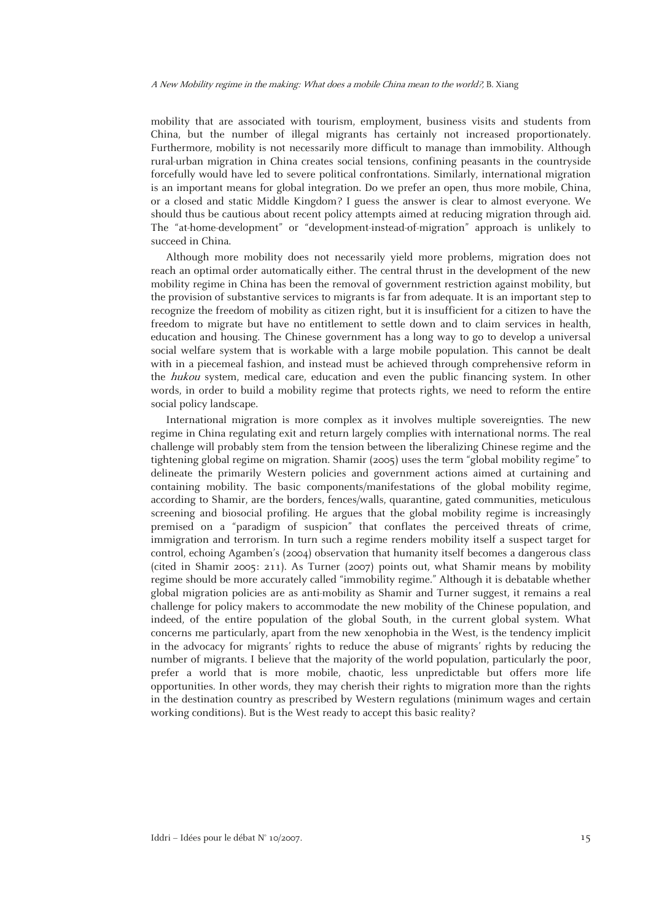mobility that are associated with tourism, employment, business visits and students from China, but the number of illegal migrants has certainly not increased proportionately. Furthermore, mobility is not necessarily more difficult to manage than immobility. Although rural-urban migration in China creates social tensions, confining peasants in the countryside forcefully would have led to severe political confrontations. Similarly, international migration is an important means for global integration. Do we prefer an open, thus more mobile, China, or a closed and static Middle Kingdom? I guess the answer is clear to almost everyone. We should thus be cautious about recent policy attempts aimed at reducing migration through aid. The "at-home-development" or "development-instead-of-migration" approach is unlikely to succeed in China.

Although more mobility does not necessarily yield more problems, migration does not reach an optimal order automatically either. The central thrust in the development of the new mobility regime in China has been the removal of government restriction against mobility, but the provision of substantive services to migrants is far from adequate. It is an important step to recognize the freedom of mobility as citizen right, but it is insufficient for a citizen to have the freedom to migrate but have no entitlement to settle down and to claim services in health, education and housing. The Chinese government has a long way to go to develop a universal social welfare system that is workable with a large mobile population. This cannot be dealt with in a piecemeal fashion, and instead must be achieved through comprehensive reform in the *hukou* system, medical care, education and even the public financing system. In other words, in order to build a mobility regime that protects rights, we need to reform the entire social policy landscape.

International migration is more complex as it involves multiple sovereignties. The new regime in China regulating exit and return largely complies with international norms. The real challenge will probably stem from the tension between the liberalizing Chinese regime and the tightening global regime on migration. Shamir (2005) uses the term "global mobility regime" to delineate the primarily Western policies and government actions aimed at curtaining and containing mobility. The basic components/manifestations of the global mobility regime, according to Shamir, are the borders, fences/walls, quarantine, gated communities, meticulous screening and biosocial profiling. He argues that the global mobility regime is increasingly premised on a "paradigm of suspicion" that conflates the perceived threats of crime, immigration and terrorism. In turn such a regime renders mobility itself a suspect target for control, echoing Agamben's (2004) observation that humanity itself becomes a dangerous class (cited in Shamir 2005: 211). As Turner (2007) points out, what Shamir means by mobility regime should be more accurately called "immobility regime." Although it is debatable whether global migration policies are as anti-mobility as Shamir and Turner suggest, it remains a real challenge for policy makers to accommodate the new mobility of the Chinese population, and indeed, of the entire population of the global South, in the current global system. What concerns me particularly, apart from the new xenophobia in the West, is the tendency implicit in the advocacy for migrants' rights to reduce the abuse of migrants' rights by reducing the number of migrants. I believe that the majority of the world population, particularly the poor, prefer a world that is more mobile, chaotic, less unpredictable but offers more life opportunities. In other words, they may cherish their rights to migration more than the rights in the destination country as prescribed by Western regulations (minimum wages and certain working conditions). But is the West ready to accept this basic reality?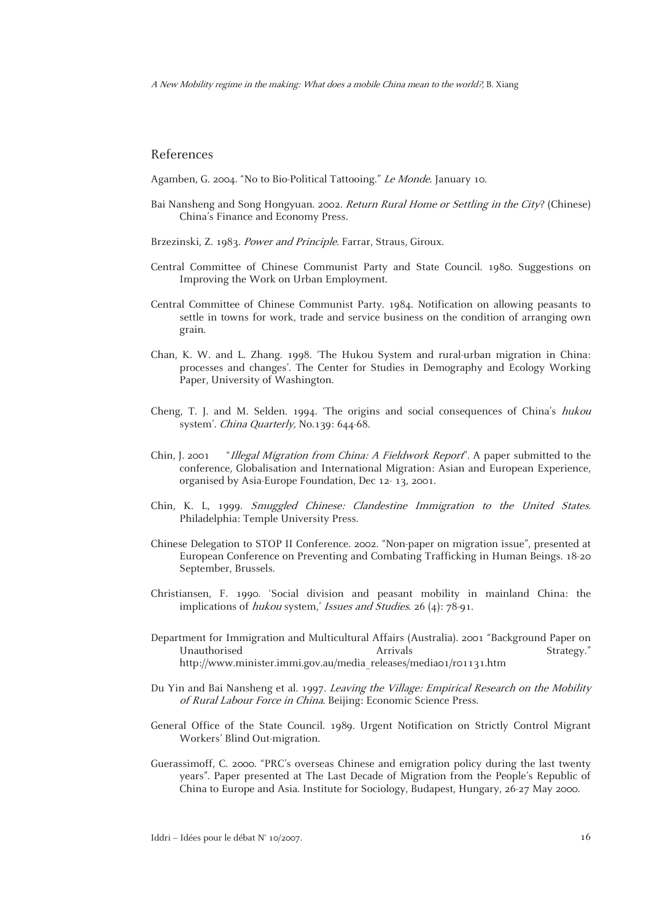#### References

Agamben, G. 2004. "No to Bio-Political Tattooing." Le Monde. January 10.

- Bai Nansheng and Song Hongyuan. 2002. Return Rural Home or Settling in the City? (Chinese) China's Finance and Economy Press.
- Brzezinski, Z. 1983. Power and Principle. Farrar, Straus, Giroux.
- Central Committee of Chinese Communist Party and State Council. 1980. Suggestions on Improving the Work on Urban Employment.
- Central Committee of Chinese Communist Party. 1984. Notification on allowing peasants to settle in towns for work, trade and service business on the condition of arranging own grain.
- Chan, K. W. and L. Zhang. 1998. 'The Hukou System and rural-urban migration in China: processes and changes'. The Center for Studies in Demography and Ecology Working Paper, University of Washington.
- Cheng, T. J. and M. Selden. 1994. 'The origins and social consequences of China's hukou system'. *China Quarterly*, No.139: 644-68.
- Chin, J. 2001 "Illegal Migration from China: A Fieldwork Report". A paper submitted to the conference, Globalisation and International Migration: Asian and European Experience, organised by Asia-Europe Foundation, Dec 12- 13, 2001.
- Chin, K. L, 1999. Smuggled Chinese: Clandestine Immigration to the United States. Philadelphia: Temple University Press.
- Chinese Delegation to STOP II Conference. 2002. "Non-paper on migration issue", presented at European Conference on Preventing and Combating Trafficking in Human Beings. 18-20 September, Brussels.
- Christiansen, F. 1990. 'Social division and peasant mobility in mainland China: the implications of *hukou* system,' Issues and Studies. 26 (4): 78-91.
- Department for Immigration and Multicultural Affairs (Australia). 2001 "Background Paper on Unauthorised **Arrivals** Arrivals **Strategy.**" http://www.minister.immi.gov.au/media\_releases/media01/r01131.htm
- Du Yin and Bai Nansheng et al. 1997. Leaving the Village: Empirical Research on the Mobility of Rural Labour Force in China. Beijing: Economic Science Press.
- General Office of the State Council. 1989. Urgent Notification on Strictly Control Migrant Workers' Blind Out-migration.
- Guerassimoff, C. 2000. "PRC's overseas Chinese and emigration policy during the last twenty years". Paper presented at The Last Decade of Migration from the People's Republic of China to Europe and Asia. Institute for Sociology, Budapest, Hungary, 26-27 May 2000.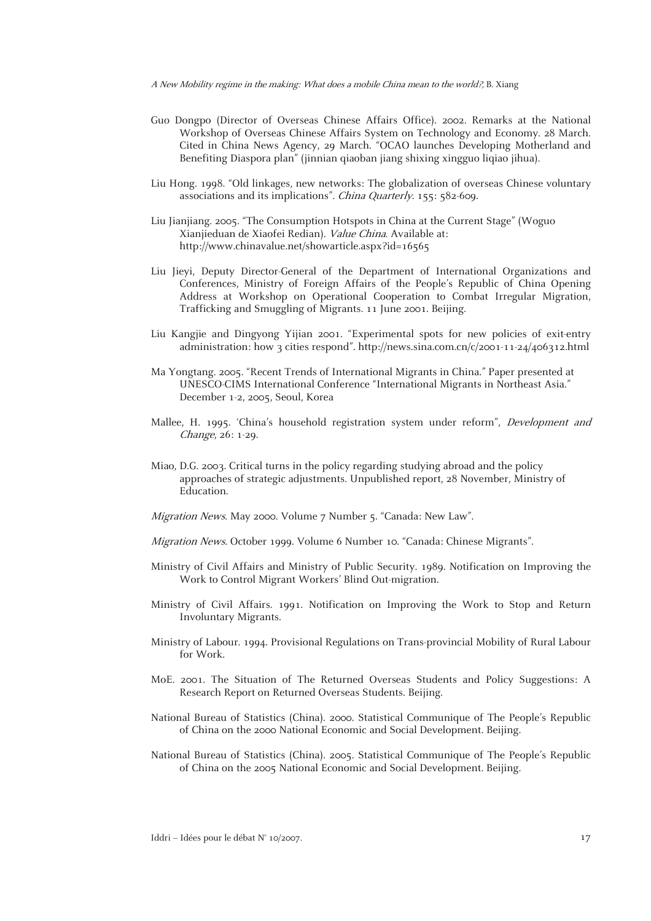- Guo Dongpo (Director of Overseas Chinese Affairs Office). 2002. Remarks at the National Workshop of Overseas Chinese Affairs System on Technology and Economy. 28 March. Cited in China News Agency, 29 March. "OCAO launches Developing Motherland and Benefiting Diaspora plan" (jinnian qiaoban jiang shixing xingguo liqiao jihua).
- Liu Hong. 1998. "Old linkages, new networks: The globalization of overseas Chinese voluntary associations and its implications". China Quarterly. 155: 582-609.
- Liu Jianjiang. 2005. "The Consumption Hotspots in China at the Current Stage" (Woguo Xianjieduan de Xiaofei Redian). Value China. Available at: http://www.chinavalue.net/showarticle.aspx?id=16565
- Liu Jieyi, Deputy Director-General of the Department of International Organizations and Conferences, Ministry of Foreign Affairs of the People's Republic of China Opening Address at Workshop on Operational Cooperation to Combat Irregular Migration, Trafficking and Smuggling of Migrants. 11 June 2001. Beijing.
- Liu Kangjie and Dingyong Yijian 2001. "Experimental spots for new policies of exit-entry administration: how 3 cities respond". http://news.sina.com.cn/c/2001-11-24/406312.html
- Ma Yongtang. 2005. "Recent Trends of International Migrants in China." Paper presented at UNESCO-CIMS International Conference "International Migrants in Northeast Asia." December 1-2, 2005, Seoul, Korea
- Mallee, H. 1995. 'China's household registration system under reform", Development and Change, 26: 1-29.
- Miao, D.G. 2003. Critical turns in the policy regarding studying abroad and the policy approaches of strategic adjustments. Unpublished report, 28 November, Ministry of Education.
- Migration News. May 2000. Volume 7 Number 5. "Canada: New Law".
- Migration News. October 1999. Volume 6 Number 10. "Canada: Chinese Migrants".
- Ministry of Civil Affairs and Ministry of Public Security. 1989. Notification on Improving the Work to Control Migrant Workers' Blind Out-migration.
- Ministry of Civil Affairs. 1991. Notification on Improving the Work to Stop and Return Involuntary Migrants.
- Ministry of Labour. 1994. Provisional Regulations on Trans-provincial Mobility of Rural Labour for Work.
- MoE. 2001. The Situation of The Returned Overseas Students and Policy Suggestions: A Research Report on Returned Overseas Students. Beijing.
- National Bureau of Statistics (China). 2000. Statistical Communique of The People's Republic of China on the 2000 National Economic and Social Development. Beijing.
- National Bureau of Statistics (China). 2005. Statistical Communique of The People's Republic of China on the 2005 National Economic and Social Development. Beijing.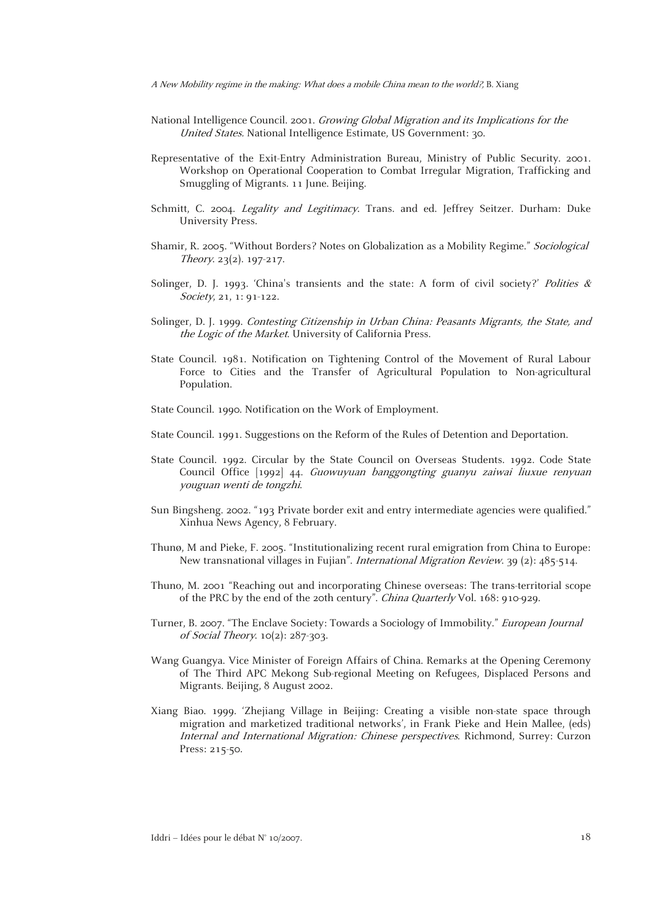- National Intelligence Council. 2001. Growing Global Migration and its Implications for the United States. National Intelligence Estimate, US Government: 30.
- Representative of the Exit-Entry Administration Bureau, Ministry of Public Security. 2001. Workshop on Operational Cooperation to Combat Irregular Migration, Trafficking and Smuggling of Migrants. 11 June. Beijing.
- Schmitt, C. 2004. Legality and Legitimacy. Trans. and ed. Jeffrey Seitzer. Durham: Duke University Press.
- Shamir, R. 2005. "Without Borders? Notes on Globalization as a Mobility Regime." Sociological Theory. 23(2). 197-217.
- Solinger, D. J. 1993. 'China's transients and the state: A form of civil society?' Polities  $\&$ Society, 21, 1: 91-122.
- Solinger, D. J. 1999. Contesting Citizenship in Urban China: Peasants Migrants, the State, and the Logic of the Market. University of California Press.
- State Council. 1981. Notification on Tightening Control of the Movement of Rural Labour Force to Cities and the Transfer of Agricultural Population to Non-agricultural Population.
- State Council. 1990. Notification on the Work of Employment.
- State Council. 1991. Suggestions on the Reform of the Rules of Detention and Deportation.
- State Council. 1992. Circular by the State Council on Overseas Students. 1992. Code State Council Office [1992] 44. Guowuyuan banggongting guanyu zaiwai liuxue renyuan youguan wenti de tongzhi.
- Sun Bingsheng. 2002. "193 Private border exit and entry intermediate agencies were qualified." Xinhua News Agency, 8 February.
- Thunø, M and Pieke, F. 2005. "Institutionalizing recent rural emigration from China to Europe: New transnational villages in Fujian". *International Migration Review.* 39 (2): 485-514.
- Thuno, M. 2001 "Reaching out and incorporating Chinese overseas: The trans-territorial scope of the PRC by the end of the 20th century". China Quarterly Vol. 168: 910-929.
- Turner, B. 2007. "The Enclave Society: Towards a Sociology of Immobility." European Journal of Social Theory. 10(2): 287-303.
- Wang Guangya. Vice Minister of Foreign Affairs of China. Remarks at the Opening Ceremony of The Third APC Mekong Sub-regional Meeting on Refugees, Displaced Persons and Migrants. Beijing, 8 August 2002.
- Xiang Biao. 1999. 'Zhejiang Village in Beijing: Creating a visible non-state space through migration and marketized traditional networks', in Frank Pieke and Hein Mallee, (eds) Internal and International Migration: Chinese perspectives. Richmond, Surrey: Curzon Press: 215-50.